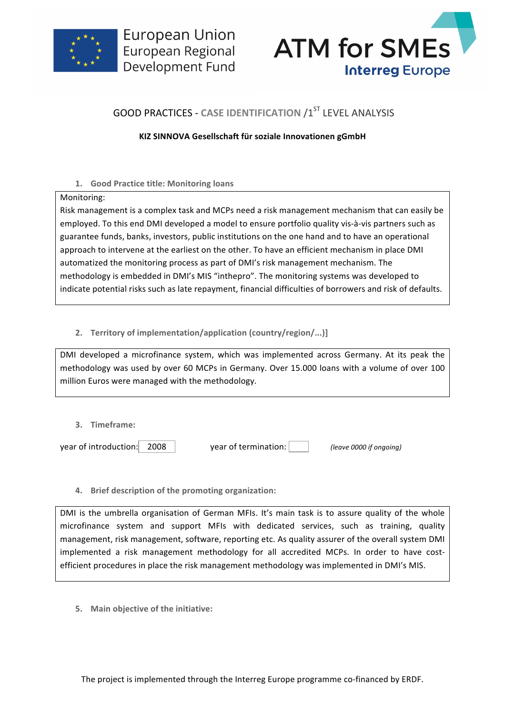



# **GOOD PRACTICES - CASE IDENTIFICATION /1ST LEVEL ANALYSIS**

## **KIZ SINNOVA Gesellschaft für soziale Innovationen gGmbH**

## **1. Good Practice title: Monitoring loans**

#### Monitoring:

Risk management is a complex task and MCPs need a risk management mechanism that can easily be employed. To this end DMI developed a model to ensure portfolio quality vis-à-vis partners such as guarantee funds, banks, investors, public institutions on the one hand and to have an operational approach to intervene at the earliest on the other. To have an efficient mechanism in place DMI automatized the monitoring process as part of DMI's risk management mechanism. The methodology is embedded in DMI's MIS "inthepro". The monitoring systems was developed to indicate potential risks such as late repayment, financial difficulties of borrowers and risk of defaults.

## 2. **Territory of implementation/application (country/region/...)]**

DMI developed a microfinance system, which was implemented across Germany. At its peak the methodology was used by over 60 MCPs in Germany. Over 15.000 loans with a volume of over 100 million Euros were managed with the methodology.

**3. Timeframe:**

year of introduction: **2008** vear of termination: *(leave 0000 if ongoing)* 

**4.** Brief description of the promoting organization:

DMI is the umbrella organisation of German MFIs. It's main task is to assure quality of the whole microfinance system and support MFIs with dedicated services, such as training, quality management, risk management, software, reporting etc. As quality assurer of the overall system DMI implemented a risk management methodology for all accredited MCPs. In order to have costefficient procedures in place the risk management methodology was implemented in DMI's MIS.

**5.** Main objective of the initiative: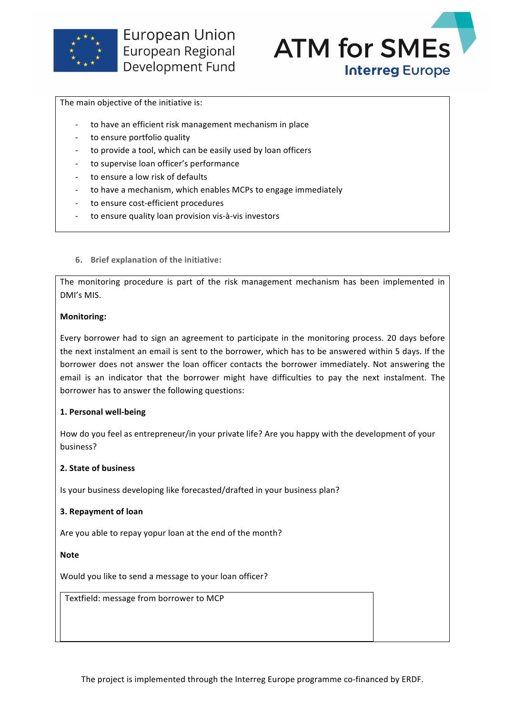



The main objective of the initiative is:

- to have an efficient risk management mechanism in place
- to ensure portfolio quality
- to provide a tool, which can be easily used by loan officers
- to supervise loan officer's performance
- to ensure a low risk of defaults
- to have a mechanism, which enables MCPs to engage immediately
- to ensure cost-efficient procedures
- to ensure quality loan provision vis-à-vis investors
- **6.** Brief explanation of the initiative:

The monitoring procedure is part of the risk management mechanism has been implemented in DMI's MIS.

## **Monitoring:**

Every borrower had to sign an agreement to participate in the monitoring process. 20 days before the next instalment an email is sent to the borrower, which has to be answered within 5 days. If the borrower does not answer the loan officer contacts the borrower immediately. Not answering the email is an indicator that the borrower might have difficulties to pay the next instalment. The borrower has to answer the following questions:

## **1. Personal well-being**

How do you feel as entrepreneur/in your private life? Are you happy with the development of your business?

## **2. State of business**

Is your business developing like forecasted/drafted in your business plan?

## **3. Repayment of loan**

Are you able to repay yopur loan at the end of the month?

**Note**

Would you like to send a message to your loan officer?

Textfield: message from borrower to MCP

The project is implemented through the Interreg Europe programme co-financed by ERDF.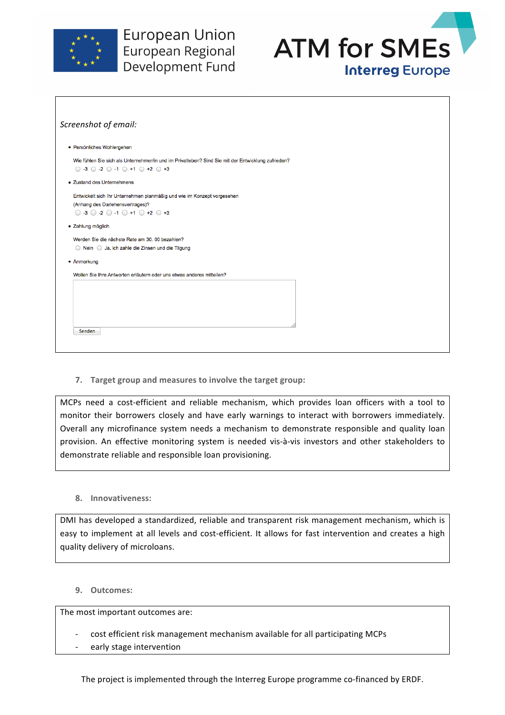



| Screenshot of email:                                                                                                                                                                               |  |
|----------------------------------------------------------------------------------------------------------------------------------------------------------------------------------------------------|--|
| · Persönliches Wohlergehen                                                                                                                                                                         |  |
| Wie fühlen Sie sich als Unternehmer/in und im Privatleben? Sind Sie mit der Entwicklung zufrieden?<br>$\bigcirc$ -3 $\bigcirc$ -2 $\bigcirc$ -1 $\bigcirc$ +1 $\bigcirc$ +2 $\bigcirc$ +3          |  |
| • Zustand des Unternehmens                                                                                                                                                                         |  |
| Entwickelt sich Ihr Unternehmen planmäßig und wie im Konzept vorgesehen<br>(Anhang des Darlehensvertrages)?<br>$\bigcirc$ -3 $\bigcirc$ -2 $\bigcirc$ -1 $\bigcirc$ +1 $\bigcirc$ +2 $\bigcirc$ +3 |  |
| • Zahlung möglich                                                                                                                                                                                  |  |
| Werden Sie die nächste Rate am 30. 00 bezahlen?<br>◯ Nein ◯ Ja, ich zahle die Zinsen und die Tilgung                                                                                               |  |
| • Anmerkung                                                                                                                                                                                        |  |
| Wollen Sie Ihre Antworten erläutern oder uns etwas anderes mitteilen?                                                                                                                              |  |
|                                                                                                                                                                                                    |  |
| Senden                                                                                                                                                                                             |  |

**7.** Target group and measures to involve the target group:

MCPs need a cost-efficient and reliable mechanism, which provides loan officers with a tool to monitor their borrowers closely and have early warnings to interact with borrowers immediately. Overall any microfinance system needs a mechanism to demonstrate responsible and quality loan provision. An effective monitoring system is needed vis-à-vis investors and other stakeholders to demonstrate reliable and responsible loan provisioning.

**8. Innovativeness:**

DMI has developed a standardized, reliable and transparent risk management mechanism, which is easy to implement at all levels and cost-efficient. It allows for fast intervention and creates a high quality delivery of microloans.

**9. Outcomes:**

The most important outcomes are:

- cost efficient risk management mechanism available for all participating MCPs
- early stage intervention

The project is implemented through the Interreg Europe programme co-financed by ERDF.